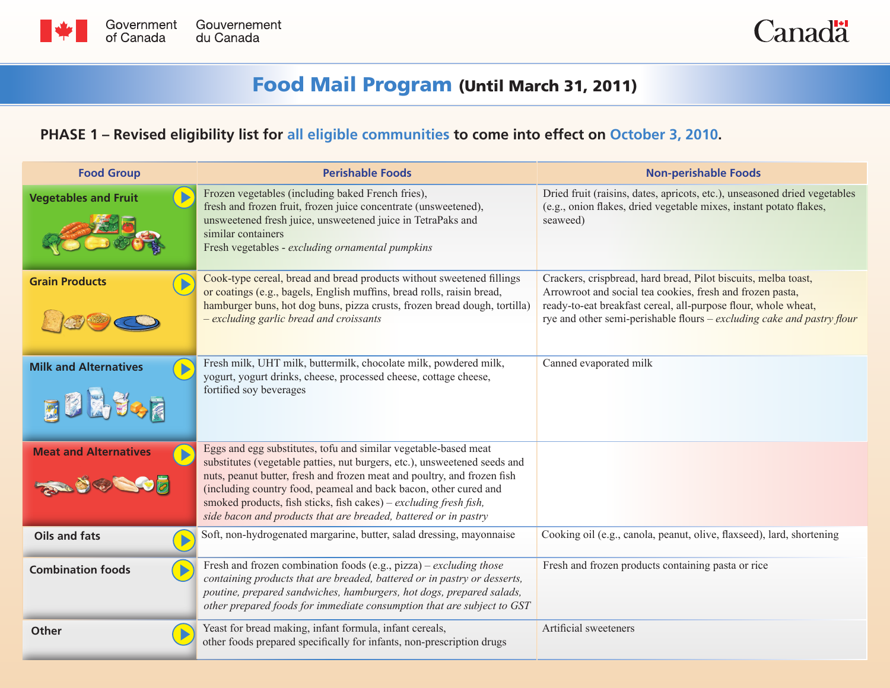



## Food Mail Program (Until March 31, 2011)

## **PHASE 1 – Revised eligibility list for all eligible communities to come into effect on October 3, 2010.**

| <b>Food Group</b>            | <b>Perishable Foods</b>                                                                                                                                                                                                                                                                                                                                                                                                             | <b>Non-perishable Foods</b>                                                                                                                                                                                                                                             |
|------------------------------|-------------------------------------------------------------------------------------------------------------------------------------------------------------------------------------------------------------------------------------------------------------------------------------------------------------------------------------------------------------------------------------------------------------------------------------|-------------------------------------------------------------------------------------------------------------------------------------------------------------------------------------------------------------------------------------------------------------------------|
| <b>Vegetables and Fruit</b>  | Frozen vegetables (including baked French fries),<br>fresh and frozen fruit, frozen juice concentrate (unsweetened),<br>unsweetened fresh juice, unsweetened juice in TetraPaks and<br>similar containers<br>Fresh vegetables - excluding ornamental pumpkins                                                                                                                                                                       | Dried fruit (raisins, dates, apricots, etc.), unseasoned dried vegetables<br>(e.g., onion flakes, dried vegetable mixes, instant potato flakes,<br>seaweed)                                                                                                             |
| <b>Grain Products</b>        | Cook-type cereal, bread and bread products without sweetened fillings<br>or coatings (e.g., bagels, English muffins, bread rolls, raisin bread,<br>hamburger buns, hot dog buns, pizza crusts, frozen bread dough, tortilla)<br>- excluding garlic bread and croissants                                                                                                                                                             | Crackers, crispbread, hard bread, Pilot biscuits, melba toast,<br>Arrowroot and social tea cookies, fresh and frozen pasta,<br>ready-to-eat breakfast cereal, all-purpose flour, whole wheat,<br>rye and other semi-perishable flours – excluding cake and pastry flour |
| <b>Milk and Alternatives</b> | Fresh milk, UHT milk, buttermilk, chocolate milk, powdered milk,<br>yogurt, yogurt drinks, cheese, processed cheese, cottage cheese,<br>fortified soy beverages                                                                                                                                                                                                                                                                     | Canned evaporated milk                                                                                                                                                                                                                                                  |
| <b>Meat and Alternatives</b> | Eggs and egg substitutes, tofu and similar vegetable-based meat<br>substitutes (vegetable patties, nut burgers, etc.), unsweetened seeds and<br>nuts, peanut butter, fresh and frozen meat and poultry, and frozen fish<br>(including country food, peameal and back bacon, other cured and<br>smoked products, fish sticks, fish cakes) – excluding fresh fish,<br>side bacon and products that are breaded, battered or in pastry |                                                                                                                                                                                                                                                                         |
| <b>Oils and fats</b>         | Soft, non-hydrogenated margarine, butter, salad dressing, mayonnaise                                                                                                                                                                                                                                                                                                                                                                | Cooking oil (e.g., canola, peanut, olive, flaxseed), lard, shortening                                                                                                                                                                                                   |
| <b>Combination foods</b>     | Fresh and frozen combination foods (e.g., pizza) – excluding those<br>containing products that are breaded, battered or in pastry or desserts,<br>poutine, prepared sandwiches, hamburgers, hot dogs, prepared salads,<br>other prepared foods for immediate consumption that are subject to GST                                                                                                                                    | Fresh and frozen products containing pasta or rice                                                                                                                                                                                                                      |
| <b>Other</b>                 | Yeast for bread making, infant formula, infant cereals,<br>other foods prepared specifically for infants, non-prescription drugs                                                                                                                                                                                                                                                                                                    | Artificial sweeteners                                                                                                                                                                                                                                                   |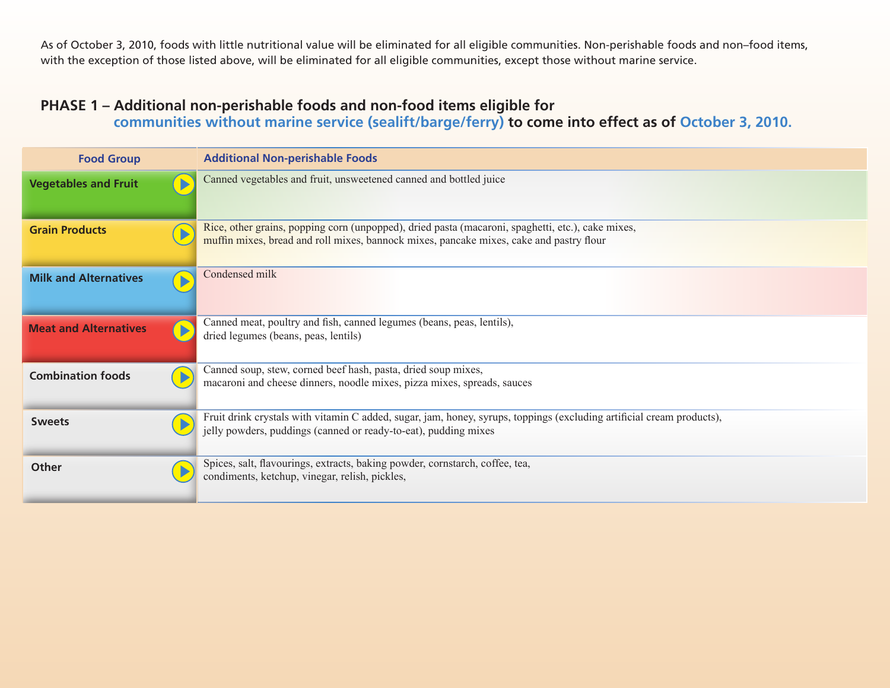As of October 3, 2010, foods with little nutritional value will be eliminated for all eligible communities. Non-perishable foods and non–food items, with the exception of those listed above, will be eliminated for all eligible communities, except those without marine service.

## **PHASE 1 – Additional non-perishable foods and non-food items eligible for communities without marine service (sealift/barge/ferry) to come into effect as of October 3, 2010.**

| <b>Food Group</b>            | <b>Additional Non-perishable Foods</b>                                                                                                                                                       |  |
|------------------------------|----------------------------------------------------------------------------------------------------------------------------------------------------------------------------------------------|--|
| <b>Vegetables and Fruit</b>  | Canned vegetables and fruit, unsweetened canned and bottled juice                                                                                                                            |  |
| <b>Grain Products</b>        | Rice, other grains, popping corn (unpopped), dried pasta (macaroni, spaghetti, etc.), cake mixes,<br>muffin mixes, bread and roll mixes, bannock mixes, pancake mixes, cake and pastry flour |  |
| <b>Milk and Alternatives</b> | Condensed milk                                                                                                                                                                               |  |
| <b>Meat and Alternatives</b> | Canned meat, poultry and fish, canned legumes (beans, peas, lentils),<br>dried legumes (beans, peas, lentils)                                                                                |  |
| <b>Combination foods</b>     | Canned soup, stew, corned beef hash, pasta, dried soup mixes,<br>macaroni and cheese dinners, noodle mixes, pizza mixes, spreads, sauces                                                     |  |
| <b>Sweets</b>                | Fruit drink crystals with vitamin C added, sugar, jam, honey, syrups, toppings (excluding artificial cream products),<br>jelly powders, puddings (canned or ready-to-eat), pudding mixes     |  |
| <b>Other</b>                 | Spices, salt, flavourings, extracts, baking powder, cornstarch, coffee, tea,<br>condiments, ketchup, vinegar, relish, pickles,                                                               |  |